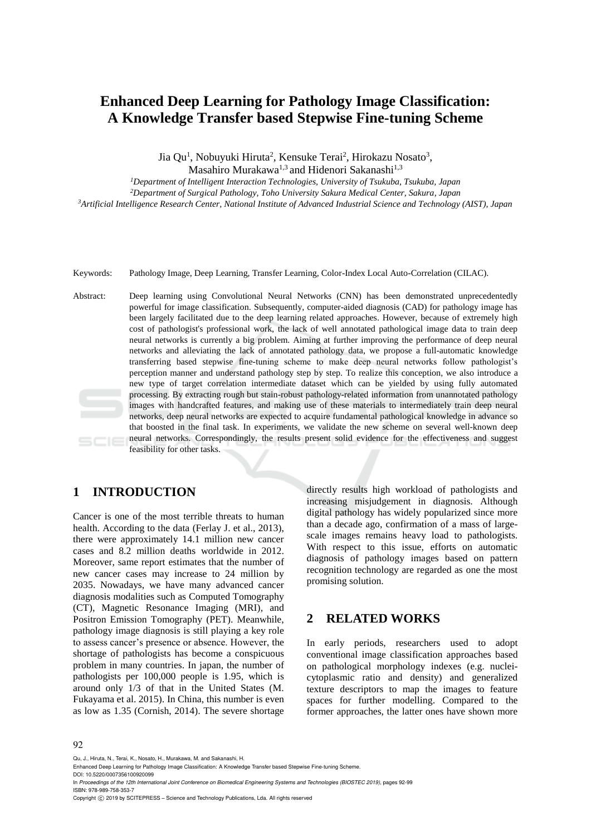# **Enhanced Deep Learning for Pathology Image Classification: A Knowledge Transfer based Stepwise Fine-tuning Scheme**

Jia Qu<sup>1</sup>, Nobuyuki Hiruta<sup>2</sup>, Kensuke Terai<sup>2</sup>, Hirokazu Nosato<sup>3</sup>,

Masahiro Murakawa<sup>1,3</sup> and Hidenori Sakanashi<sup>1,3</sup>

*<sup>1</sup>Department of Intelligent Interaction Technologies, University of Tsukuba, Tsukuba, Japan*

*<sup>2</sup>Department of Surgical Pathology, Toho University Sakura Medical Center, Sakura, Japan*

*<sup>3</sup>Artificial Intelligence Research Center, National Institute of Advanced Industrial Science and Technology (AIST), Japan*

Keywords: Pathology Image, Deep Learning, Transfer Learning, Color-Index Local Auto-Correlation (CILAC).

Abstract: Deep learning using Convolutional Neural Networks (CNN) has been demonstrated unprecedentedly powerful for image classification. Subsequently, computer-aided diagnosis (CAD) for pathology image has been largely facilitated due to the deep learning related approaches. However, because of extremely high cost of pathologist's professional work, the lack of well annotated pathological image data to train deep neural networks is currently a big problem. Aiming at further improving the performance of deep neural networks and alleviating the lack of annotated pathology data, we propose a full-automatic knowledge transferring based stepwise fine-tuning scheme to make deep neural networks follow pathologist's perception manner and understand pathology step by step. To realize this conception, we also introduce a new type of target correlation intermediate dataset which can be yielded by using fully automated processing. By extracting rough but stain-robust pathology-related information from unannotated pathology images with handcrafted features, and making use of these materials to intermediately train deep neural networks, deep neural networks are expected to acquire fundamental pathological knowledge in advance so that boosted in the final task. In experiments, we validate the new scheme on several well-known deep neural networks. Correspondingly, the results present solid evidence for the effectiveness and suggest feasibility for other tasks.

# **1 INTRODUCTION**

Cancer is one of the most terrible threats to human health. According to the data (Ferlay J. et al., 2013), there were approximately 14.1 million new cancer cases and 8.2 million deaths worldwide in 2012. Moreover, same report estimates that the number of new cancer cases may increase to 24 million by 2035. Nowadays, we have many advanced cancer diagnosis modalities such as Computed Tomography (CT), Magnetic Resonance Imaging (MRI), and Positron Emission Tomography (PET). Meanwhile, pathology image diagnosis is still playing a key role to assess cancer's presence or absence. However, the shortage of pathologists has become a conspicuous problem in many countries. In japan, the number of pathologists per 100,000 people is 1.95, which is around only 1/3 of that in the United States (M. Fukayama et al. 2015). In China, this number is even as low as 1.35 (Cornish, 2014). The severe shortage

directly results high workload of pathologists and increasing misjudgement in diagnosis. Although digital pathology has widely popularized since more than a decade ago, confirmation of a mass of largescale images remains heavy load to pathologists. With respect to this issue, efforts on automatic diagnosis of pathology images based on pattern recognition technology are regarded as one the most promising solution.

# **2 RELATED WORKS**

In early periods, researchers used to adopt conventional image classification approaches based on pathological morphology indexes (e.g. nucleicytoplasmic ratio and density) and generalized texture descriptors to map the images to feature spaces for further modelling. Compared to the former approaches, the latter ones have shown more

#### 92

Qu, J., Hiruta, N., Terai, K., Nosato, H., Murakawa, M. and Sakanashi, H.

Copyright © 2019 by SCITEPRESS - Science and Technology Publications, Lda. All rights reserved

Enhanced Deep Learning for Pathology Image Classification: A Knowledge Transfer based Stepwise Fine-tuning Scheme. DOI: 10.5220/0007356100920099

In *Proceedings of the 12th International Joint Conference on Biomedical Engineering Systems and Technologies (BIOSTEC 2019)*, pages 92-99 ISBN: 978-989-758-353-7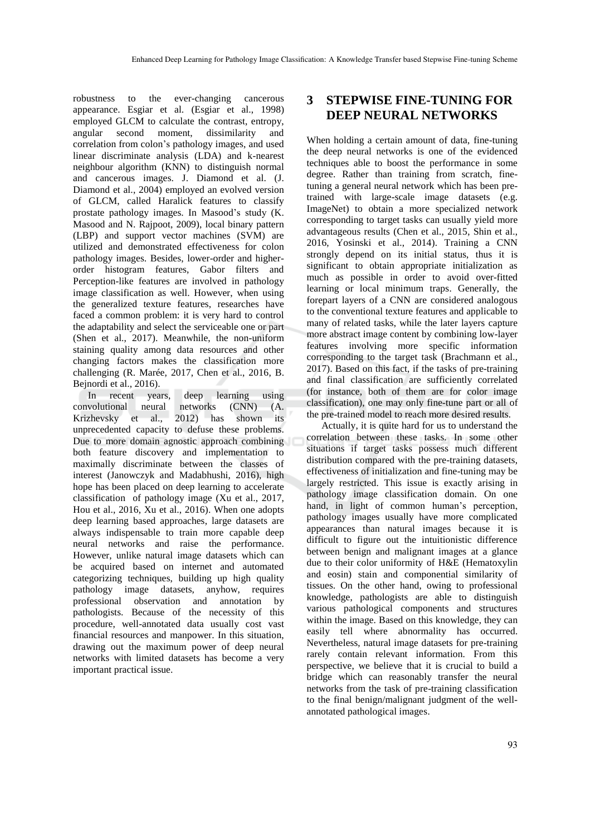robustness to the ever-changing cancerous appearance. Esgiar et al. (Esgiar et al., 1998) employed GLCM to calculate the contrast, entropy, angular second moment, dissimilarity and correlation from colon's pathology images, and used linear discriminate analysis (LDA) and k-nearest neighbour algorithm (KNN) to distinguish normal and cancerous images. J. Diamond et al. (J. Diamond et al., 2004) employed an evolved version of GLCM, called Haralick features to classify prostate pathology images. In Masood's study (K. Masood and N. Rajpoot, 2009), local binary pattern (LBP) and support vector machines (SVM) are utilized and demonstrated effectiveness for colon pathology images. Besides, lower-order and higherorder histogram features, Gabor filters and Perception-like features are involved in pathology image classification as well. However, when using the generalized texture features, researches have faced a common problem: it is very hard to control the adaptability and select the serviceable one or part (Shen et al., 2017). Meanwhile, the non-uniform staining quality among data resources and other changing factors makes the classification more challenging (R. Marée, 2017, Chen et al., 2016, B. Bejnordi et al., 2016).

In recent years, deep learning using<br>wolutional neural networks (CNN) (A. convolutional neural networks (CNN) (A. Krizhevsky et al., 2012) has shown its unprecedented capacity to defuse these problems. Due to more domain agnostic approach combining both feature discovery and implementation to maximally discriminate between the classes of interest (Janowczyk and Madabhushi, 2016), high hope has been placed on deep learning to accelerate classification of pathology image (Xu et al., 2017, Hou et al., 2016, Xu et al., 2016). When one adopts deep learning based approaches, large datasets are always indispensable to train more capable deep neural networks and raise the performance. However, unlike natural image datasets which can be acquired based on internet and automated categorizing techniques, building up high quality pathology image datasets, anyhow, requires professional observation and annotation by pathologists. Because of the necessity of this procedure, well-annotated data usually cost vast financial resources and manpower. In this situation, drawing out the maximum power of deep neural networks with limited datasets has become a very important practical issue.

# **3 STEPWISE FINE-TUNING FOR DEEP NEURAL NETWORKS**

When holding a certain amount of data, fine-tuning the deep neural networks is one of the evidenced techniques able to boost the performance in some degree. Rather than training from scratch, finetuning a general neural network which has been pretrained with large-scale image datasets (e.g. ImageNet) to obtain a more specialized network corresponding to target tasks can usually yield more advantageous results (Chen et al., 2015, Shin et al., 2016, Yosinski et al., 2014). Training a CNN strongly depend on its initial status, thus it is significant to obtain appropriate initialization as much as possible in order to avoid over-fitted learning or local minimum traps. Generally, the forepart layers of a CNN are considered analogous to the conventional texture features and applicable to many of related tasks, while the later layers capture more abstract image content by combining low-layer features involving more specific information corresponding to the target task (Brachmann et al., 2017). Based on this fact, if the tasks of pre-training and final classification are sufficiently correlated (for instance, both of them are for color image classification), one may only fine-tune part or all of the pre-trained model to reach more desired results.

Actually, it is quite hard for us to understand the correlation between these tasks. In some other situations if target tasks possess much different distribution compared with the pre-training datasets, effectiveness of initialization and fine-tuning may be largely restricted. This issue is exactly arising in pathology image classification domain. On one hand, in light of common human's perception, pathology images usually have more complicated appearances than natural images because it is difficult to figure out the intuitionistic difference between benign and malignant images at a glance due to their color uniformity of H&E (Hematoxylin and eosin) stain and componential similarity of tissues. On the other hand, owing to professional knowledge, pathologists are able to distinguish various pathological components and structures within the image. Based on this knowledge, they can easily tell where abnormality has occurred. Nevertheless, natural image datasets for pre-training rarely contain relevant information. From this perspective, we believe that it is crucial to build a bridge which can reasonably transfer the neural networks from the task of pre-training classification to the final benign/malignant judgment of the wellannotated pathological images.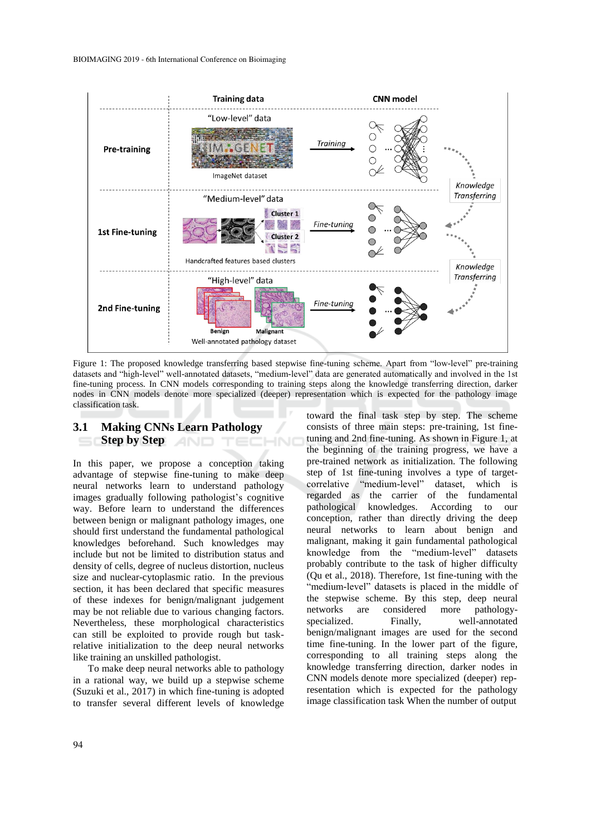

Figure 1: The proposed knowledge transferring based stepwise fine-tuning scheme. Apart from "low-level" pre-training datasets and "high-level" well-annotated datasets, "medium-level" data are generated automatically and involved in the 1st fine-tuning process. In CNN models corresponding to training steps along the knowledge transferring direction, darker nodes in CNN models denote more specialized (deeper) representation which is expected for the pathology image classification task.

#### **3.1 Making CNNs Learn Pathology Step by Step**

In this paper, we propose a conception taking advantage of stepwise fine-tuning to make deep neural networks learn to understand pathology images gradually following pathologist's cognitive way. Before learn to understand the differences between benign or malignant pathology images, one should first understand the fundamental pathological knowledges beforehand. Such knowledges may include but not be limited to distribution status and density of cells, degree of nucleus distortion, nucleus size and nuclear-cytoplasmic ratio. In the previous section, it has been declared that specific measures of these indexes for benign/malignant judgement may be not reliable due to various changing factors. Nevertheless, these morphological characteristics can still be exploited to provide rough but taskrelative initialization to the deep neural networks like training an unskilled pathologist.

To make deep neural networks able to pathology in a rational way, we build up a stepwise scheme (Suzuki et al., 2017) in which fine-tuning is adopted to transfer several different levels of knowledge toward the final task step by step. The scheme consists of three main steps: pre-training, 1st finetuning and 2nd fine-tuning. As shown in Figure 1, at the beginning of the training progress, we have a pre-trained network as initialization. The following step of 1st fine-tuning involves a type of targetcorrelative "medium-level" dataset, which is regarded as the carrier of the fundamental pathological knowledges. According to our conception, rather than directly driving the deep neural networks to learn about benign and malignant, making it gain fundamental pathological knowledge from the "medium-level" datasets probably contribute to the task of higher difficulty (Qu et al., 2018). Therefore, 1st fine-tuning with the "medium-level" datasets is placed in the middle of the stepwise scheme. By this step, deep neural networks are considered more pathologyspecialized. Finally, well-annotated benign/malignant images are used for the second time fine-tuning. In the lower part of the figure, corresponding to all training steps along the knowledge transferring direction, darker nodes in CNN models denote more specialized (deeper) representation which is expected for the pathology image classification task When the number of output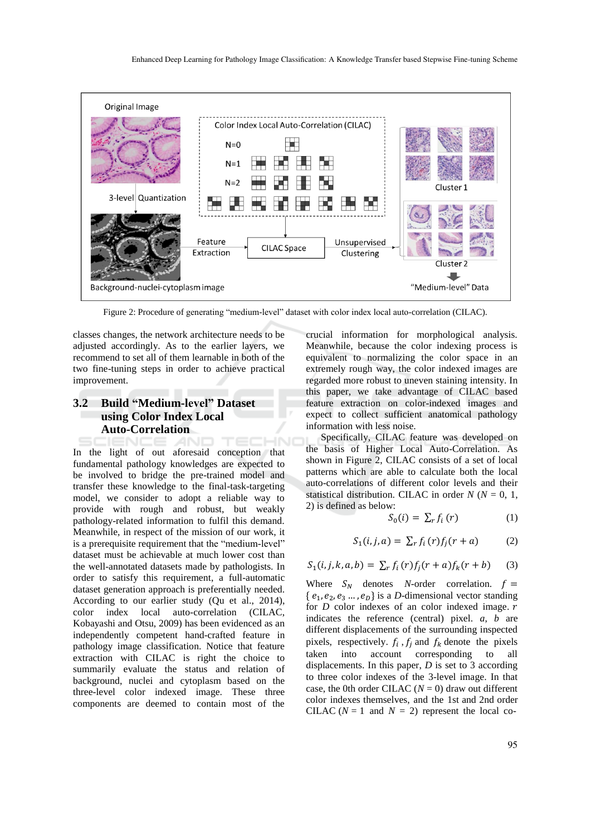

Figure 2: Procedure of generating "medium-level" dataset with color index local auto-correlation (CILAC).

classes changes, the network architecture needs to be adjusted accordingly. As to the earlier layers, we recommend to set all of them learnable in both of the two fine-tuning steps in order to achieve practical improvement.

## **3.2 Build "Medium-level" Dataset using Color Index Local Auto-Correlation**

**CHN** In the light of out aforesaid conception that fundamental pathology knowledges are expected to be involved to bridge the pre-trained model and transfer these knowledge to the final-task-targeting model, we consider to adopt a reliable way to provide with rough and robust, but weakly pathology-related information to fulfil this demand. Meanwhile, in respect of the mission of our work, it is a prerequisite requirement that the "medium-level" dataset must be achievable at much lower cost than the well-annotated datasets made by pathologists. In order to satisfy this requirement, a full-automatic dataset generation approach is preferentially needed. According to our earlier study (Qu et al., 2014), color index local auto-correlation (CILAC, Kobayashi and Otsu, 2009) has been evidenced as an independently competent hand-crafted feature in pathology image classification. Notice that feature extraction with CILAC is right the choice to summarily evaluate the status and relation of background, nuclei and cytoplasm based on the three-level color indexed image. These three components are deemed to contain most of the

crucial information for morphological analysis. Meanwhile, because the color indexing process is equivalent to normalizing the color space in an extremely rough way, the color indexed images are regarded more robust to uneven staining intensity. In this paper, we take advantage of CILAC based feature extraction on color-indexed images and expect to collect sufficient anatomical pathology information with less noise.

Specifically, CILAC feature was developed on the basis of Higher Local Auto-Correlation. As shown in Figure 2, CILAC consists of a set of local patterns which are able to calculate both the local auto-correlations of different color levels and their statistical distribution. CILAC in order  $N (N = 0, 1, 1)$ 2) is defined as below:

$$
S_0(i) = \sum_r f_i(r) \tag{1}
$$

$$
S_1(i,j,a) = \sum_r f_i(r) f_j(r+a) \tag{2}
$$

$$
S_1(i, j, k, a, b) = \sum_{r} f_i(r) f_j(r + a) f_k(r + b)
$$
 (3)

Where  $S_N$  denotes *N*-order correlation.  $f =$  $\{e_1, e_2, e_3 \dots, e_D\}$  is a *D*-dimensional vector standing for *D* color indexes of an color indexed image. r indicates the reference (central) pixel. *a*, *b* are different displacements of the surrounding inspected pixels, respectively.  $f_i$ ,  $f_j$  and  $f_k$  denote the pixels taken into account corresponding to all displacements. In this paper, *D* is set to 3 according to three color indexes of the 3-level image. In that case, the 0th order CILAC  $(N = 0)$  draw out different color indexes themselves, and the 1st and 2nd order CILAC ( $N = 1$  and  $N = 2$ ) represent the local co-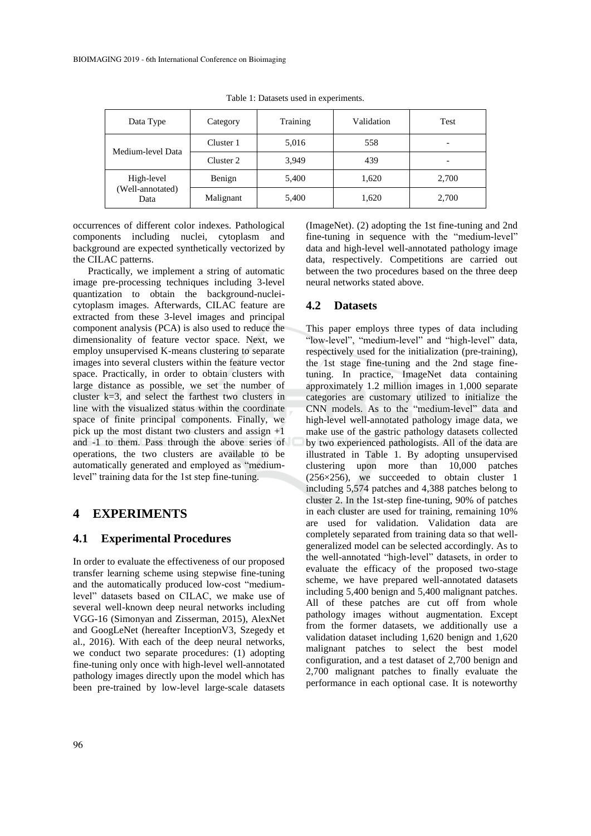| Data Type                | Category  | Training | Validation | Test                     |  |
|--------------------------|-----------|----------|------------|--------------------------|--|
| Medium-level Data        | Cluster 1 | 5,016    | 558        | $\overline{\phantom{0}}$ |  |
|                          | Cluster 2 | 3.949    | 439        |                          |  |
| High-level               | Benign    | 5,400    | 1,620      | 2,700                    |  |
| (Well-annotated)<br>Data | Malignant | 5,400    | 1,620      | 2,700                    |  |

Table 1: Datasets used in experiments.

occurrences of different color indexes. Pathological components including nuclei, cytoplasm and background are expected synthetically vectorized by the CILAC patterns.

Practically, we implement a string of automatic image pre-processing techniques including 3-level quantization to obtain the background-nucleicytoplasm images. Afterwards, CILAC feature are extracted from these 3-level images and principal component analysis (PCA) is also used to reduce the dimensionality of feature vector space. Next, we employ unsupervised K-means clustering to separate images into several clusters within the feature vector space. Practically, in order to obtain clusters with large distance as possible, we set the number of cluster k=3, and select the farthest two clusters in line with the visualized status within the coordinate space of finite principal components. Finally, we pick up the most distant two clusters and assign +1 and -1 to them. Pass through the above series of operations, the two clusters are available to be automatically generated and employed as "mediumlevel" training data for the 1st step fine-tuning.

## **4 EXPERIMENTS**

#### **4.1 Experimental Procedures**

In order to evaluate the effectiveness of our proposed transfer learning scheme using stepwise fine-tuning and the automatically produced low-cost "mediumlevel" datasets based on CILAC, we make use of several well-known deep neural networks including VGG-16 (Simonyan and Zisserman, 2015), AlexNet and GoogLeNet (hereafter InceptionV3, Szegedy et al., 2016). With each of the deep neural networks, we conduct two separate procedures: (1) adopting fine-tuning only once with high-level well-annotated pathology images directly upon the model which has been pre-trained by low-level large-scale datasets (ImageNet). (2) adopting the 1st fine-tuning and 2nd fine-tuning in sequence with the "medium-level" data and high-level well-annotated pathology image data, respectively. Competitions are carried out between the two procedures based on the three deep neural networks stated above.

#### **4.2 Datasets**

This paper employs three types of data including "low-level", "medium-level" and "high-level" data, respectively used for the initialization (pre-training), the 1st stage fine-tuning and the 2nd stage finetuning. In practice, ImageNet data containing approximately 1.2 million images in 1,000 separate categories are customary utilized to initialize the CNN models. As to the "medium-level" data and high-level well-annotated pathology image data, we make use of the gastric pathology datasets collected by two experienced pathologists. All of the data are illustrated in Table 1. By adopting unsupervised clustering upon more than 10,000 patches (256×256), we succeeded to obtain cluster 1 including 5,574 patches and 4,388 patches belong to cluster 2. In the 1st-step fine-tuning, 90% of patches in each cluster are used for training, remaining 10% are used for validation. Validation data are completely separated from training data so that wellgeneralized model can be selected accordingly. As to the well-annotated "high-level" datasets, in order to evaluate the efficacy of the proposed two-stage scheme, we have prepared well-annotated datasets including 5,400 benign and 5,400 malignant patches. All of these patches are cut off from whole pathology images without augmentation. Except from the former datasets, we additionally use a validation dataset including 1,620 benign and 1,620 malignant patches to select the best model configuration, and a test dataset of 2,700 benign and 2,700 malignant patches to finally evaluate the performance in each optional case. It is noteworthy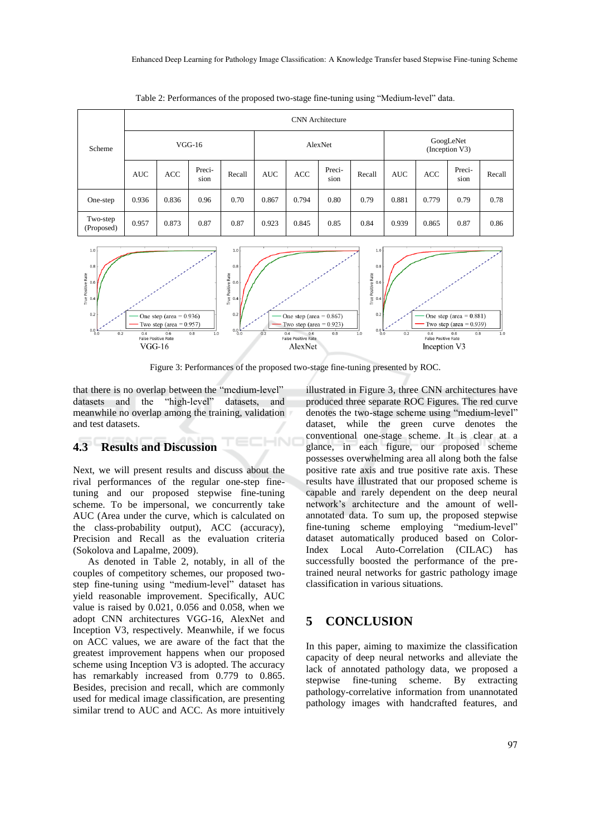| Scheme                 | <b>CNN</b> Architecture |            |                |         |            |       |                             |        |            |       |                |        |
|------------------------|-------------------------|------------|----------------|---------|------------|-------|-----------------------------|--------|------------|-------|----------------|--------|
|                        | $VGG-16$                |            |                | AlexNet |            |       | GoogLeNet<br>(Inception V3) |        |            |       |                |        |
|                        | <b>AUC</b>              | <b>ACC</b> | Preci-<br>sion | Recall  | <b>AUC</b> | ACC   | Preci-<br>sion              | Recall | <b>AUC</b> | ACC   | Preci-<br>sion | Recall |
| One-step               | 0.936                   | 0.836      | 0.96           | 0.70    | 0.867      | 0.794 | 0.80                        | 0.79   | 0.881      | 0.779 | 0.79           | 0.78   |
| Two-step<br>(Proposed) | 0.957                   | 0.873      | 0.87           | 0.87    | 0.923      | 0.845 | 0.85                        | 0.84   | 0.939      | 0.865 | 0.87           | 0.86   |

Table 2: Performances of the proposed two-stage fine-tuning using "Medium-level" data.



Figure 3: Performances of the proposed two-stage fine-tuning presented by ROC.

НN

that there is no overlap between the "medium-level" datasets and the "high-level" datasets, and datasets and the "high-level" datasets, and meanwhile no overlap among the training, validation and test datasets.

#### **4.3 Results and Discussion**

Next, we will present results and discuss about the rival performances of the regular one-step finetuning and our proposed stepwise fine-tuning scheme. To be impersonal, we concurrently take AUC (Area under the curve, which is calculated on the class-probability output), ACC (accuracy), Precision and Recall as the evaluation criteria (Sokolova and Lapalme, 2009).

As denoted in Table 2, notably, in all of the couples of competitory schemes, our proposed twostep fine-tuning using "medium-level" dataset has yield reasonable improvement. Specifically, AUC value is raised by 0.021, 0.056 and 0.058, when we adopt CNN architectures VGG-16, AlexNet and Inception V3, respectively. Meanwhile, if we focus on ACC values, we are aware of the fact that the greatest improvement happens when our proposed scheme using Inception V3 is adopted. The accuracy has remarkably increased from 0.779 to 0.865. Besides, precision and recall, which are commonly used for medical image classification, are presenting similar trend to AUC and ACC. As more intuitively illustrated in Figure 3, three CNN architectures have produced three separate ROC Figures. The red curve denotes the two-stage scheme using "medium-level" dataset, while the green curve denotes the conventional one-stage scheme. It is clear at a glance, in each figure, our proposed scheme possesses overwhelming area all along both the false positive rate axis and true positive rate axis. These results have illustrated that our proposed scheme is capable and rarely dependent on the deep neural network's architecture and the amount of wellannotated data. To sum up, the proposed stepwise fine-tuning scheme employing "medium-level" dataset automatically produced based on Color-Index Local Auto-Correlation (CILAC) has successfully boosted the performance of the pretrained neural networks for gastric pathology image classification in various situations.

# **5 CONCLUSION**

In this paper, aiming to maximize the classification capacity of deep neural networks and alleviate the lack of annotated pathology data, we proposed a stepwise fine-tuning scheme. By extracting pathology-correlative information from unannotated pathology images with handcrafted features, and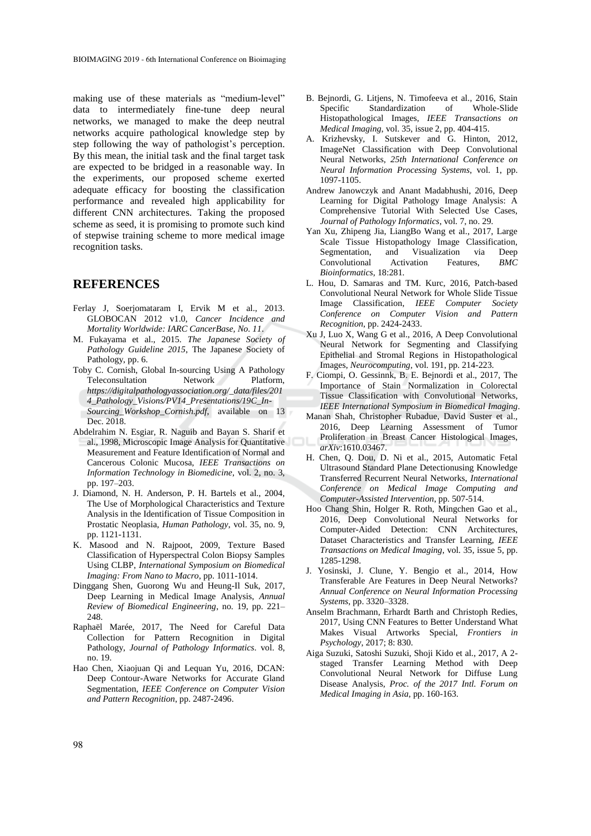making use of these materials as "medium-level" data to intermediately fine-tune deep neural networks, we managed to make the deep neutral networks acquire pathological knowledge step by step following the way of pathologist's perception. By this mean, the initial task and the final target task are expected to be bridged in a reasonable way. In the experiments, our proposed scheme exerted adequate efficacy for boosting the classification performance and revealed high applicability for different CNN architectures. Taking the proposed scheme as seed, it is promising to promote such kind of stepwise training scheme to more medical image recognition tasks.

#### **REFERENCES**

- Ferlay J, Soerjomataram I, Ervik M et al., 2013. GLOBOCAN 2012 v1.0, *Cancer Incidence and Mortality Worldwide: IARC CancerBase, No. 11*.
- M. Fukayama et al., 2015. *The Japanese Society of Pathology Guideline 2015*, The Japanese Society of Pathology, pp. 6.
- Toby C. Cornish, Global In-sourcing Using A Pathology Teleconsultation Network Platform, *https://digitalpathologyassociation.org/\_data/files/201 4\_Pathology\_Visions/PV14\_Presentations/19C\_In-Sourcing\_Workshop\_Cornish.pdf*, available on 13 Dec. 2018.
- Abdelrahim N. Esgiar, R. Naguib and Bayan S. Sharif et al., 1998, Microscopic Image Analysis for Quantitative Measurement and Feature Identification of Normal and Cancerous Colonic Mucosa, *IEEE Transactions on Information Technology in Biomedicine*, vol. 2, no. 3, pp. 197–203.
- J. Diamond, N. H. Anderson, P. H. Bartels et al., 2004, The Use of Morphological Characteristics and Texture Analysis in the Identification of Tissue Composition in Prostatic Neoplasia, *Human Pathology*, vol. 35, no. 9, pp. 1121-1131.
- K. Masood and N. Rajpoot, 2009, Texture Based Classification of Hyperspectral Colon Biopsy Samples Using CLBP, *International Symposium on Biomedical Imaging: From Nano to Macro*, pp. 1011-1014.
- Dinggang Shen, Guorong Wu and Heung-Il Suk, 2017, Deep Learning in Medical Image Analysis, *Annual Review of Biomedical Engineering*, no. 19, pp. 221–  $248$
- Raphaël Marée, 2017, The Need for Careful Data Collection for Pattern Recognition in Digital Pathology, *Journal of Pathology Informatics*. vol. 8, no. 19.
- Hao Chen, Xiaojuan Qi and Lequan Yu, 2016, DCAN: Deep Contour-Aware Networks for Accurate Gland Segmentation, *IEEE Conference on Computer Vision and Pattern Recognition*, pp. 2487-2496.
- B. Bejnordi, G. Litjens, N. Timofeeva et al., 2016, Stain Specific Standardization of Whole-Slide Histopathological Images, *IEEE Transactions on Medical Imaging*, vol. 35, issue 2, pp. 404-415.
- A. Krizhevsky, I. Sutskever and G. Hinton, 2012, ImageNet Classification with Deep Convolutional Neural Networks, *25th International Conference on Neural Information Processing Systems*, vol. 1, pp. 1097-1105.
- Andrew Janowczyk and Anant Madabhushi, 2016, Deep Learning for Digital Pathology Image Analysis: A Comprehensive Tutorial With Selected Use Cases, *Journal of Pathology Informatics*, vol. 7, no. 29.
- Yan Xu, Zhipeng Jia, LiangBo Wang et al., 2017, Large Scale Tissue Histopathology Image Classification, Segmentation, and Visualization via Deep Convolutional Activation Features, *BMC Bioinformatics*, 18:281.
- L. Hou, D. Samaras and TM. Kurc, 2016, Patch-based Convolutional Neural Network for Whole Slide Tissue Image Classification, *IEEE Computer Society Conference on Computer Vision and Pattern Recognition*, pp. 2424-2433.
- Xu J, Luo X, Wang G et al., 2016, A Deep Convolutional Neural Network for Segmenting and Classifying Epithelial and Stromal Regions in Histopathological Images, *Neurocomputing*, vol. 191, pp. 214-223.
- F. Ciompi, O. Gessinnk, B. E. Bejnordi et al., 2017, The Importance of Stain Normalization in Colorectal Tissue Classification with Convolutional Networks, *IEEE International Symposium in Biomedical Imaging*.
- Manan Shah, Christopher Rubadue, David Suster et al., 2016, Deep Learning Assessment of Tumor Proliferation in Breast Cancer Histological Images, *arXiv*:1610.03467.
- H. Chen, Q. Dou, D. Ni et al., 2015, Automatic Fetal Ultrasound Standard Plane Detectionusing Knowledge Transferred Recurrent Neural Networks, *International Conference on Medical Image Computing and Computer-Assisted Intervention*, pp. 507-514.
- Hoo Chang Shin, Holger R. Roth, Mingchen Gao et al., 2016, Deep Convolutional Neural Networks for Computer-Aided Detection: CNN Architectures, Dataset Characteristics and Transfer Learning, *IEEE Transactions on Medical Imaging*, vol. 35, issue 5, pp. 1285-1298.
- J. Yosinski, J. Clune, Y. Bengio et al., 2014, How Transferable Are Features in Deep Neural Networks? *Annual Conference on Neural Information Processing Systems*, pp. 3320–3328.
- Anselm Brachmann, Erhardt Barth and Christoph Redies, 2017, Using CNN Features to Better Understand What Makes Visual Artworks Special, *Frontiers in Psychology*, 2017; 8: 830.
- Aiga Suzuki, Satoshi Suzuki, Shoji Kido et al., 2017, A 2 staged Transfer Learning Method with Deep Convolutional Neural Network for Diffuse Lung Disease Analysis, *Proc. of the 2017 Intl. Forum on Medical Imaging in Asia*, pp. 160-163.